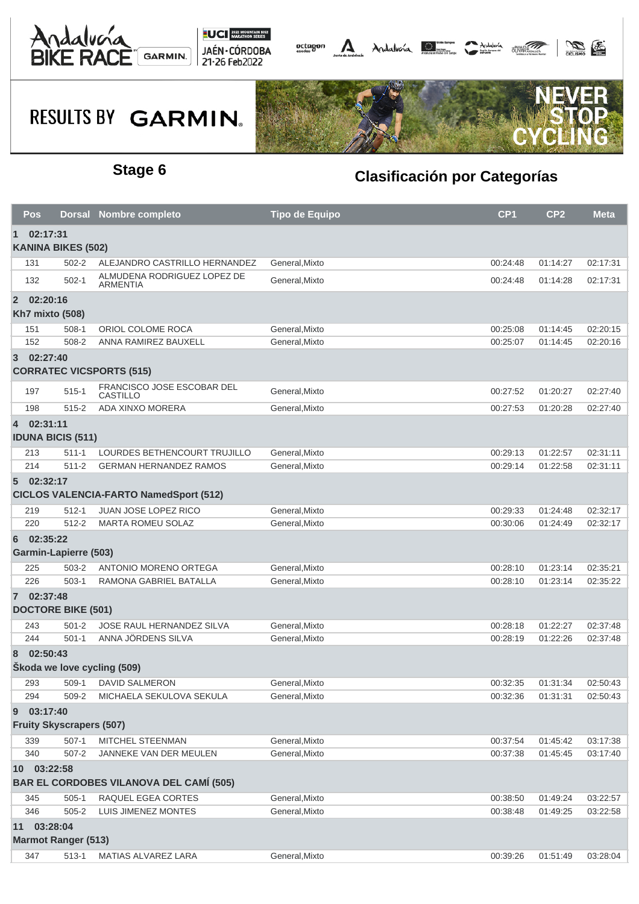



## **RESULTS BY GARMIN.**



### **Stage 6 Clasificación por Categorías**

| <b>Pos</b>                                       |                                 |  | Dorsal Nombre completo                         | <b>Tipo de Equipo</b> | CP <sub>1</sub> | CP <sub>2</sub> | <b>Meta</b> |  |  |  |  |
|--------------------------------------------------|---------------------------------|--|------------------------------------------------|-----------------------|-----------------|-----------------|-------------|--|--|--|--|
| 02:17:31<br>1<br><b>KANINA BIKES (502)</b>       |                                 |  |                                                |                       |                 |                 |             |  |  |  |  |
| 131                                              | $502 - 2$                       |  | ALEJANDRO CASTRILLO HERNANDEZ                  | General, Mixto        | 00:24:48        | 01:14:27        | 02:17:31    |  |  |  |  |
| 132                                              | $502 - 1$                       |  | ALMUDENA RODRIGUEZ LOPEZ DE<br><b>ARMENTIA</b> | General, Mixto        | 00:24:48        | 01:14:28        | 02:17:31    |  |  |  |  |
| $\overline{2}$                                   | 02:20:16                        |  |                                                |                       |                 |                 |             |  |  |  |  |
|                                                  | <b>Kh7 mixto (508)</b>          |  |                                                |                       |                 |                 |             |  |  |  |  |
| 151                                              | $508-1$                         |  | ORIOL COLOME ROCA                              | General, Mixto        | 00:25:08        | 01:14:45        | 02:20:15    |  |  |  |  |
| 152                                              | 508-2                           |  | ANNA RAMIREZ BAUXELL                           | General, Mixto        | 00:25:07        | 01:14:45        | 02:20:16    |  |  |  |  |
| 02:27:40<br>3<br><b>CORRATEC VICSPORTS (515)</b> |                                 |  |                                                |                       |                 |                 |             |  |  |  |  |
| 197                                              | $515 - 1$                       |  | FRANCISCO JOSE ESCOBAR DEL<br><b>CASTILLO</b>  | General, Mixto        | 00:27:52        | 01:20:27        | 02:27:40    |  |  |  |  |
| 198                                              | $515 - 2$                       |  | ADA XINXO MORERA                               | General, Mixto        | 00:27:53        | 01:20:28        | 02:27:40    |  |  |  |  |
| $\overline{4}$                                   | 02:31:11                        |  |                                                |                       |                 |                 |             |  |  |  |  |
| <b>IDUNA BICIS (511)</b>                         |                                 |  |                                                |                       |                 |                 |             |  |  |  |  |
| 213                                              | $511 - 1$                       |  | LOURDES BETHENCOURT TRUJILLO                   | General, Mixto        | 00:29:13        | 01:22:57        | 02:31:11    |  |  |  |  |
| 214                                              | $511 - 2$                       |  | <b>GERMAN HERNANDEZ RAMOS</b>                  | General.Mixto         | 00:29:14        | 01:22:58        | 02:31:11    |  |  |  |  |
| $5^{\circ}$                                      | 02:32:17                        |  |                                                |                       |                 |                 |             |  |  |  |  |
| <b>CICLOS VALENCIA-FARTO NamedSport (512)</b>    |                                 |  |                                                |                       |                 |                 |             |  |  |  |  |
| 219                                              | $512 - 1$                       |  | <b>JUAN JOSE LOPEZ RICO</b>                    | General, Mixto        | 00:29:33        | 01:24:48        | 02:32:17    |  |  |  |  |
| 220                                              | $512 - 2$                       |  | <b>MARTA ROMEU SOLAZ</b>                       | General, Mixto        | 00:30:06        | 01:24:49        | 02:32:17    |  |  |  |  |
| 6                                                | 02:35:22                        |  |                                                |                       |                 |                 |             |  |  |  |  |
|                                                  | <b>Garmin-Lapierre (503)</b>    |  |                                                |                       |                 |                 |             |  |  |  |  |
| 225                                              | 503-2                           |  | ANTONIO MORENO ORTEGA                          | General, Mixto        | 00:28:10        | 01:23:14        | 02:35:21    |  |  |  |  |
| 226                                              | $503-1$                         |  | RAMONA GABRIEL BATALLA                         | General, Mixto        | 00:28:10        | 01:23:14        | 02:35:22    |  |  |  |  |
| $7\phantom{.}$                                   | 02:37:48                        |  |                                                |                       |                 |                 |             |  |  |  |  |
|                                                  | <b>DOCTORE BIKE (501)</b>       |  |                                                |                       |                 |                 |             |  |  |  |  |
| 243                                              | $501 - 2$                       |  | JOSE RAUL HERNANDEZ SILVA                      | General, Mixto        | 00:28:18        | 01:22:27        | 02:37:48    |  |  |  |  |
| 244                                              | $501 - 1$                       |  | ANNA JÖRDENS SILVA                             | General, Mixto        | 00:28:19        | 01:22:26        | 02:37:48    |  |  |  |  |
| 8                                                | 02:50:43                        |  |                                                |                       |                 |                 |             |  |  |  |  |
|                                                  | Škoda we love cycling (509)     |  |                                                |                       |                 |                 |             |  |  |  |  |
| 293                                              |                                 |  | 509-1 DAVID SALMERON                           | General, Mixto        | 00:32:35        | 01:31:34        | 02:50:43    |  |  |  |  |
| 294                                              | 509-2                           |  | MICHAELA SEKULOVA SEKULA                       | General, Mixto        | 00:32:36        | 01:31:31        | 02:50:43    |  |  |  |  |
| 9                                                | 03:17:40                        |  |                                                |                       |                 |                 |             |  |  |  |  |
|                                                  | <b>Fruity Skyscrapers (507)</b> |  |                                                |                       |                 |                 |             |  |  |  |  |
| 339                                              | $507-1$                         |  | MITCHEL STEENMAN                               | General, Mixto        | 00:37:54        | 01:45:42        | 03:17:38    |  |  |  |  |
| 340                                              | $507 - 2$                       |  | JANNEKE VAN DER MEULEN                         | General, Mixto        | 00:37:38        | 01:45:45        | 03:17:40    |  |  |  |  |
|                                                  | 10 03:22:58                     |  |                                                |                       |                 |                 |             |  |  |  |  |
| <b>BAR EL CORDOBES VILANOVA DEL CAMÍ (505)</b>   |                                 |  |                                                |                       |                 |                 |             |  |  |  |  |
| 345                                              | $505-1$                         |  | RAQUEL EGEA CORTES                             | General, Mixto        | 00:38:50        | 01:49:24        | 03:22:57    |  |  |  |  |
| 346                                              | $505 - 2$                       |  | LUIS JIMENEZ MONTES                            | General, Mixto        | 00:38:48        | 01:49:25        | 03:22:58    |  |  |  |  |
|                                                  | 11 03:28:04                     |  |                                                |                       |                 |                 |             |  |  |  |  |
| <b>Marmot Ranger (513)</b>                       |                                 |  |                                                |                       |                 |                 |             |  |  |  |  |
| 347                                              | $513 - 1$                       |  | <b>MATIAS ALVAREZ LARA</b>                     | General, Mixto        | 00:39:26        | 01:51:49        | 03:28:04    |  |  |  |  |